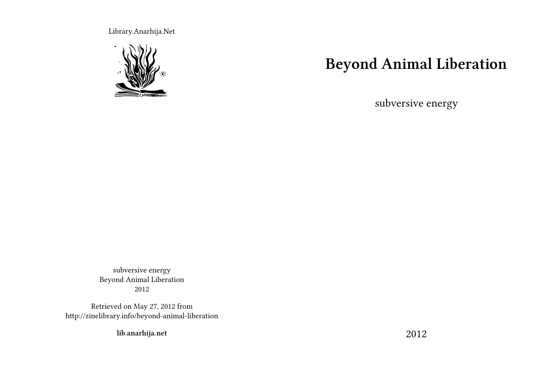Library.Anarhija.Net



# **Beyond Animal Liberation**

subversive energy

subversive energy Beyond Animal Liberation 2012

Retrieved on May 27, 2012 from http://zinelibrary.info/beyond-animal-liberation

**lib.anarhija.net**

2012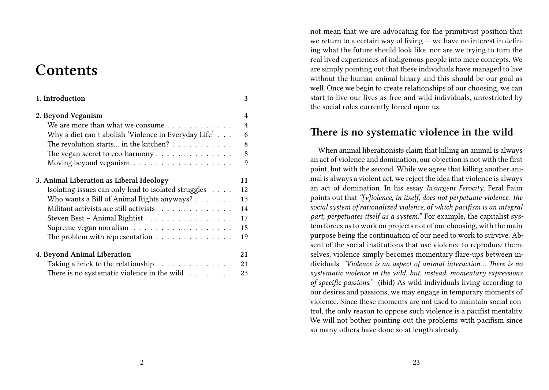## **Contents**

| 1. Introduction                                                      | 3              |
|----------------------------------------------------------------------|----------------|
| 2. Beyond Veganism                                                   | $\overline{4}$ |
| We are more than what we consume                                     | $\overline{4}$ |
| Why a diet can't abolish 'Violence in Everyday Life'                 | 6              |
| The revolution starts in the kitchen? $\dots \dots \dots$            | 8              |
|                                                                      | 8              |
|                                                                      | 9              |
| 3. Animal Liberation as Liberal Ideology                             | 11             |
| Isolating issues can only lead to isolated struggles                 | 12             |
| Who wants a Bill of Animal Rights anyways?                           | 13             |
| Militant activists are still activists $\ldots \ldots \ldots \ldots$ | 14             |
| Steven Best - Animal Rightist                                        | 17             |
|                                                                      | 18             |
| The problem with representation $\ldots \ldots \ldots \ldots \ldots$ | 19             |
| 4. Beyond Animal Liberation                                          | 21             |
| Taking a brick to the relationship                                   | 21             |
| There is no systematic violence in the wild $\dots\dots\dots$        | 23             |

not mean that we are advocating for the primitivist position that we return to a certain way of living — we have no interest in defining what the future should look like, nor are we trying to turn the real lived experiences of indigenous people into mere concepts. We are simply pointing out that these individuals have managed to live without the human-animal binary and this should be our goal as well. Once we begin to create relationships of our choosing, we can start to live our lives as free and wild individuals, unrestricted by the social roles currently forced upon us.

#### **There is no systematic violence in the wild**

When animal liberationists claim that killing an animal is always an act of violence and domination, our objection is not with the first point, but with the second. While we agree that killing another animal is always a violent act, we reject the idea that violence is always an act of domination. In his essay *Insurgent Ferocity*, Feral Faun points out that *"[v]iolence, in itself, does not perpetuate violence. The social system of rationalized violence, of which pacifism is an integral part, perpetuates itself as a system."* For example, the capitalist system forces us to work on projects not of our choosing, with the main purpose being the continuation of our need to work to survive. Absent of the social institutions that use violence to reproduce themselves, violence simply becomes momentary flare-ups between individuals. *"Violence is an aspect of animal interaction… There is no systematic violence in the wild, but, instead, momentary expressions of specific passions."* (ibid) As wild individuals living according to our desires and passions, we may engage in temporary moments of violence. Since these moments are not used to maintain social control, the only reason to oppose such violence is a pacifist mentality. We will not bother pointing out the problems with pacifism since so many others have done so at length already.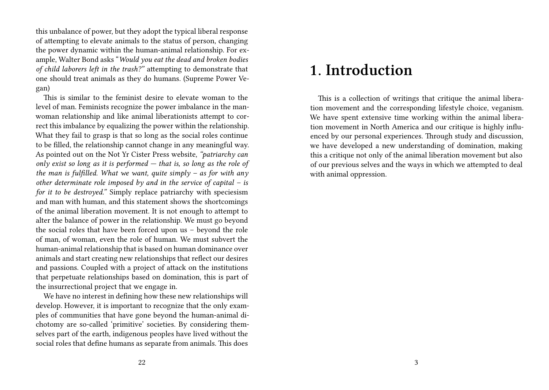this unbalance of power, but they adopt the typical liberal response of attempting to elevate animals to the status of person, changing the power dynamic within the human-animal relationship. For example, Walter Bond asks "*Would you eat the dead and broken bodies of child laborers left in the trash?"* attempting to demonstrate that one should treat animals as they do humans. (Supreme Power Vegan)

This is similar to the feminist desire to elevate woman to the level of man. Feminists recognize the power imbalance in the manwoman relationship and like animal liberationists attempt to correct this imbalance by equalizing the power within the relationship. What they fail to grasp is that so long as the social roles continue to be filled, the relationship cannot change in any meaningful way. As pointed out on the Not Yr Cister Press website, *"patriarchy can only exist so long as it is performed — that is, so long as the role of the man is fulfilled. What we want, quite simply – as for with any other determinate role imposed by and in the service of capital – is for it to be destroyed.*" Simply replace patriarchy with speciesism and man with human, and this statement shows the shortcomings of the animal liberation movement. It is not enough to attempt to alter the balance of power in the relationship. We must go beyond the social roles that have been forced upon us – beyond the role of man, of woman, even the role of human. We must subvert the human-animal relationship that is based on human dominance over animals and start creating new relationships that reflect our desires and passions. Coupled with a project of attack on the institutions that perpetuate relationships based on domination, this is part of the insurrectional project that we engage in.

We have no interest in defining how these new relationships will develop. However, it is important to recognize that the only examples of communities that have gone beyond the human-animal dichotomy are so-called 'primitive' societies. By considering themselves part of the earth, indigenous peoples have lived without the social roles that define humans as separate from animals. This does

## **1. Introduction**

This is a collection of writings that critique the animal liberation movement and the corresponding lifestyle choice, veganism. We have spent extensive time working within the animal liberation movement in North America and our critique is highly influenced by our personal experiences. Through study and discussion, we have developed a new understanding of domination, making this a critique not only of the animal liberation movement but also of our previous selves and the ways in which we attempted to deal with animal oppression.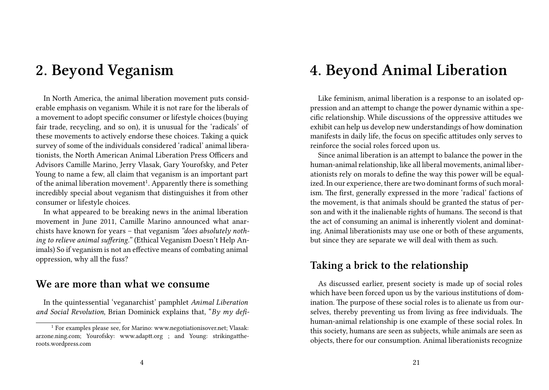## **2. Beyond Veganism**

In North America, the animal liberation movement puts considerable emphasis on veganism. While it is not rare for the liberals of a movement to adopt specific consumer or lifestyle choices (buying fair trade, recycling, and so on), it is unusual for the 'radicals' of these movements to actively endorse these choices. Taking a quick survey of some of the individuals considered 'radical' animal liberationists, the North American Animal Liberation Press Officers and Advisors Camille Marino, Jerry Vlasak, Gary Yourofsky, and Peter Young to name a few, all claim that veganism is an important part of the animal liberation movement<sup>1</sup>. Apparently there is something incredibly special about veganism that distinguishes it from other consumer or lifestyle choices.

In what appeared to be breaking news in the animal liberation movement in June 2011, Camille Marino announced what anarchists have known for years – that veganism *"does absolutely nothing to relieve animal suffering."* (Ethical Veganism Doesn't Help Animals) So if veganism is not an effective means of combating animal oppression, why all the fuss?

#### **We are more than what we consume**

In the quintessential 'veganarchist' pamphlet *Animal Liberation and Social Revolution*, Brian Dominick explains that, "*By my defi-*

# **4. Beyond Animal Liberation**

Like feminism, animal liberation is a response to an isolated oppression and an attempt to change the power dynamic within a specific relationship. While discussions of the oppressive attitudes we exhibit can help us develop new understandings of how domination manifests in daily life, the focus on specific attitudes only serves to reinforce the social roles forced upon us.

Since animal liberation is an attempt to balance the power in the human-animal relationship, like all liberal movements, animal liberationists rely on morals to define the way this power will be equalized. In our experience, there are two dominant forms of such moralism. The first, generally expressed in the more 'radical' factions of the movement, is that animals should be granted the status of person and with it the inalienable rights of humans. The second is that the act of consuming an animal is inherently violent and dominating. Animal liberationists may use one or both of these arguments, but since they are separate we will deal with them as such.

### **Taking a brick to the relationship**

As discussed earlier, present society is made up of social roles which have been forced upon us by the various institutions of domination. The purpose of these social roles is to alienate us from ourselves, thereby preventing us from living as free individuals. The human-animal relationship is one example of these social roles. In this society, humans are seen as subjects, while animals are seen as objects, there for our consumption. Animal liberationists recognize

<sup>1</sup> For examples please see, for Marino: www.negotiationisover.net; Vlasak: arzone.ning.com; Yourofsky: www.adaptt.org ; and Young: strikingattheroots.wordpress.com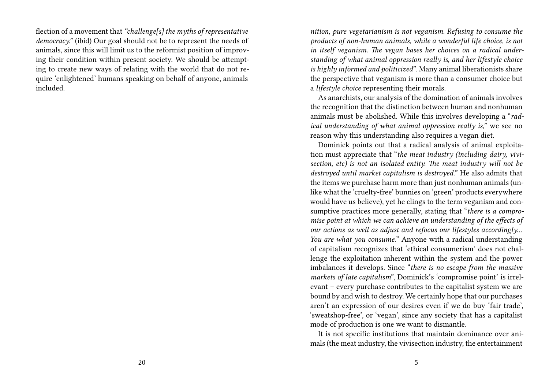flection of a movement that *"challenge[s] the myths of representative democracy."* (ibid) Our goal should not be to represent the needs of animals, since this will limit us to the reformist position of improving their condition within present society. We should be attempting to create new ways of relating with the world that do not require 'enlightened' humans speaking on behalf of anyone, animals included.

*nition, pure vegetarianism is not veganism. Refusing to consume the products of non-human animals, while a wonderful life choice, is not in itself veganism. The vegan bases her choices on a radical understanding of what animal oppression really is, and her lifestyle choice is highly informed and politicized*". Many animal liberationists share the perspective that veganism is more than a consumer choice but a *lifestyle choice* representing their morals.

As anarchists, our analysis of the domination of animals involves the recognition that the distinction between human and nonhuman animals must be abolished. While this involves developing a "*radical understanding of what animal oppression really is,*" we see no reason why this understanding also requires a vegan diet.

Dominick points out that a radical analysis of animal exploitation must appreciate that "*the meat industry (including dairy, vivisection, etc) is not an isolated entity. The meat industry will not be destroyed until market capitalism is destroyed.*" He also admits that the items we purchase harm more than just nonhuman animals (unlike what the 'cruelty-free' bunnies on 'green' products everywhere would have us believe), yet he clings to the term veganism and consumptive practices more generally, stating that "*there is a compromise point at which we can achieve an understanding of the effects of our actions as well as adjust and refocus our lifestyles accordingly… You are what you consume.*" Anyone with a radical understanding of capitalism recognizes that 'ethical consumerism' does not challenge the exploitation inherent within the system and the power imbalances it develops. Since "*there is no escape from the massive markets of late capitalism*", Dominick's 'compromise point' is irrelevant – every purchase contributes to the capitalist system we are bound by and wish to destroy. We certainly hope that our purchases aren't an expression of our desires even if we do buy 'fair trade', 'sweatshop-free', or 'vegan', since any society that has a capitalist mode of production is one we want to dismantle.

It is not specific institutions that maintain dominance over animals (the meat industry, the vivisection industry, the entertainment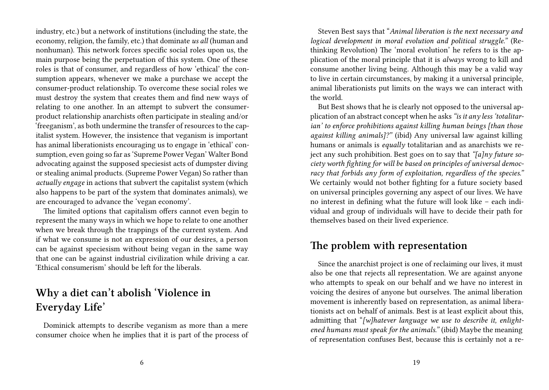industry, etc.) but a network of institutions (including the state, the economy, religion, the family, etc.) that dominate *us all* (human and nonhuman). This network forces specific social roles upon us, the main purpose being the perpetuation of this system. One of these roles is that of consumer, and regardless of how 'ethical' the consumption appears, whenever we make a purchase we accept the consumer-product relationship. To overcome these social roles we must destroy the system that creates them and find new ways of relating to one another. In an attempt to subvert the consumerproduct relationship anarchists often participate in stealing and/or 'freeganism', as both undermine the transfer of resources to the capitalist system. However, the insistence that veganism is important has animal liberationists encouraging us to engage in 'ethical' consumption, even going so far as 'Supreme Power Vegan' Walter Bond advocating against the supposed speciesist acts of dumpster diving or stealing animal products. (Supreme Power Vegan) So rather than *actually engage* in actions that subvert the capitalist system (which also happens to be part of the system that dominates animals), we are encouraged to advance the 'vegan economy'.

The limited options that capitalism offers cannot even begin to represent the many ways in which we hope to relate to one another when we break through the trappings of the current system. And if what we consume is not an expression of our desires, a person can be against speciesism without being vegan in the same way that one can be against industrial civilization while driving a car. 'Ethical consumerism' should be left for the liberals.

## **Why a diet can't abolish 'Violence in Everyday Life'**

Dominick attempts to describe veganism as more than a mere consumer choice when he implies that it is part of the process of

Steven Best says that "*Animal liberation is the next necessary and logical development in moral evolution and political struggle."* (Rethinking Revolution) The 'moral evolution' he refers to is the application of the moral principle that it is *always* wrong to kill and consume another living being. Although this may be a valid way to live in certain circumstances, by making it a universal principle, animal liberationists put limits on the ways we can interact with the world.

But Best shows that he is clearly not opposed to the universal application of an abstract concept when he asks*"is it any less 'totalitarian' to enforce prohibitions against killing human beings [than those against killing animals]?"* (ibid) Any universal law against killing humans or animals is *equally* totalitarian and as anarchists we reject any such prohibition. Best goes on to say that *"[a]ny future society worth fighting for will be based on principles of universal democracy that forbids any form of exploitation, regardless of the species."* We certainly would not bother fighting for a future society based on universal principles governing any aspect of our lives. We have no interest in defining what the future will look like – each individual and group of individuals will have to decide their path for themselves based on their lived experience.

#### **The problem with representation**

Since the anarchist project is one of reclaiming our lives, it must also be one that rejects all representation. We are against anyone who attempts to speak on our behalf and we have no interest in voicing the desires of anyone but ourselves. The animal liberation movement is inherently based on representation, as animal liberationists act on behalf of animals. Best is at least explicit about this, admitting that "*[w]hatever language we use to describe it, enlightened humans must speak for the animals."* (ibid) Maybe the meaning of representation confuses Best, because this is certainly not a re-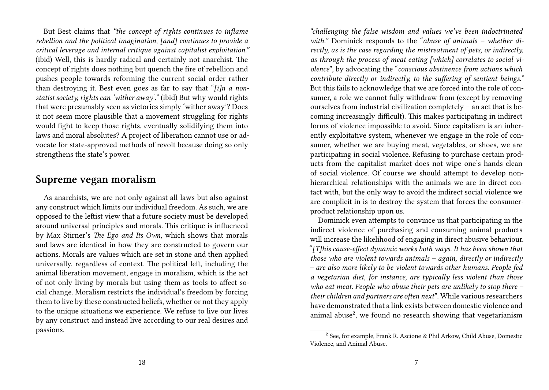But Best claims that *"the concept of rights continues to inflame rebellion and the political imagination, [and] continues to provide a critical leverage and internal critique against capitalist exploitation."* (ibid) Well, this is hardly radical and certainly not anarchist. The concept of rights does nothing but quench the fire of rebellion and pushes people towards reforming the current social order rather than destroying it. Best even goes as far to say that "*[i]n a nonstatist society, rights can 'wither away'."* (ibid) But why would rights that were presumably seen as victories simply 'wither away'? Does it not seem more plausible that a movement struggling for rights would fight to keep those rights, eventually solidifying them into laws and moral absolutes? A project of liberation cannot use or advocate for state-approved methods of revolt because doing so only strengthens the state's power.

#### **Supreme vegan moralism**

As anarchists, we are not only against all laws but also against any construct which limits our individual freedom. As such, we are opposed to the leftist view that a future society must be developed around universal principles and morals. This critique is influenced by Max Stirner's *The Ego and Its Own*, which shows that morals and laws are identical in how they are constructed to govern our actions. Morals are values which are set in stone and then applied universally, regardless of context. The political left, including the animal liberation movement, engage in moralism, which is the act of not only living by morals but using them as tools to affect social change. Moralism restricts the individual's freedom by forcing them to live by these constructed beliefs, whether or not they apply to the unique situations we experience. We refuse to live our lives by any construct and instead live according to our real desires and passions.

*"challenging the false wisdom and values we've been indoctrinated with."* Dominick responds to the "*abuse of animals – whether directly, as is the case regarding the mistreatment of pets, or indirectly, as through the process of meat eating [which] correlates to social violence*", by advocating the "*conscious abstinence from actions which contribute directly or indirectly, to the suffering of sentient beings."* But this fails to acknowledge that we are forced into the role of consumer, a role we cannot fully withdraw from (except by removing ourselves from industrial civilization completely – an act that is becoming increasingly difficult). This makes participating in indirect forms of violence impossible to avoid. Since capitalism is an inherently exploitative system, whenever we engage in the role of consumer, whether we are buying meat, vegetables, or shoes, we are participating in social violence. Refusing to purchase certain products from the capitalist market does not wipe one's hands clean of social violence. Of course we should attempt to develop nonhierarchical relationships with the animals we are in direct contact with, but the only way to avoid the indirect social violence we are complicit in is to destroy the system that forces the consumerproduct relationship upon us.

Dominick even attempts to convince us that participating in the indirect violence of purchasing and consuming animal products will increase the likelihood of engaging in direct abusive behaviour. "*[T]his cause-effect dynamic works both ways. It has been shown that those who are violent towards animals – again, directly or indirectly – are also more likely to be violent towards other humans. People fed a vegetarian diet, for instance, are typically less violent than those who eat meat. People who abuse their pets are unlikely to stop there – their children and partners are often next*". While various researchers have demonstrated that a link exists between domestic violence and animal abuse<sup>2</sup>, we found no research showing that vegetarianism

<sup>2</sup> See, for example, Frank R. Ascione & Phil Arkow, Child Abuse, Domestic Violence, and Animal Abuse.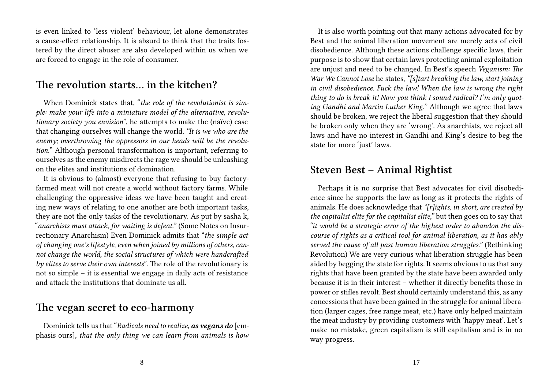is even linked to 'less violent' behaviour, let alone demonstrates a cause-effect relationship. It is absurd to think that the traits fostered by the direct abuser are also developed within us when we are forced to engage in the role of consumer.

#### **The revolution starts… in the kitchen?**

When Dominick states that, "*the role of the revolutionist is simple: make your life into a miniature model of the alternative, revolutionary society you envision*", he attempts to make the (naïve) case that changing ourselves will change the world. *"It is we who are the enemy; overthrowing the oppressors in our heads will be the revolution.*" Although personal transformation is important, referring to ourselves as the enemy misdirects the rage we should be unleashing on the elites and institutions of domination.

It is obvious to (almost) everyone that refusing to buy factoryfarmed meat will not create a world without factory farms. While challenging the oppressive ideas we have been taught and creating new ways of relating to one another are both important tasks, they are not the only tasks of the revolutionary. As put by sasha k, "*anarchists must attack, for waiting is defeat.*" (Some Notes on Insurrectionary Anarchism) Even Dominick admits that "*the simple act of changing one's lifestyle, even when joined by millions of others, cannot change the world, the social structures of which were handcrafted by elites to serve their own interests*". The role of the revolutionary is not so simple – it is essential we engage in daily acts of resistance and attack the institutions that dominate us all.

### **The vegan secret to eco-harmony**

Dominick tells us that "*Radicals need to realize, as vegans do* [emphasis ours], *that the only thing we can learn from animals is how*

It is also worth pointing out that many actions advocated for by Best and the animal liberation movement are merely acts of civil disobedience. Although these actions challenge specific laws, their purpose is to show that certain laws protecting animal exploitation are unjust and need to be changed. In Best's speech *Veganism: The War We Cannot Lose* he states, *"[s]tart breaking the law, start joining in civil disobedience. Fuck the law! When the law is wrong the right thing to do is break it! Now you think I sound radical? I'm only quoting Gandhi and Martin Luther King."* Although we agree that laws should be broken, we reject the liberal suggestion that they should be broken only when they are 'wrong'. As anarchists, we reject all laws and have no interest in Gandhi and King's desire to beg the state for more 'just' laws.

### **Steven Best – Animal Rightist**

Perhaps it is no surprise that Best advocates for civil disobedience since he supports the law as long as it protects the rights of animals. He does acknowledge that *"[r]ights, in short, are created by the capitalist elite for the capitalist elite,"* but then goes on to say that *"it would be a strategic error of the highest order to abandon the discourse of rights as a critical tool for animal liberation, as it has ably served the cause of all past human liberation struggles."* (Rethinking Revolution) We are very curious what liberation struggle has been aided by begging the state for rights. It seems obvious to us that any rights that have been granted by the state have been awarded only because it is in their interest – whether it directly benefits those in power or stifles revolt. Best should certainly understand this, as any concessions that have been gained in the struggle for animal liberation (larger cages, free range meat, etc.) have only helped maintain the meat industry by providing customers with 'happy meat'. Let's make no mistake, green capitalism is still capitalism and is in no way progress.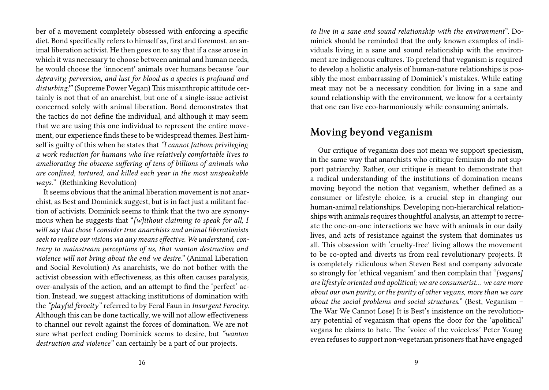ber of a movement completely obsessed with enforcing a specific diet. Bond specifically refers to himself as, first and foremost, an animal liberation activist. He then goes on to say that if a case arose in which it was necessary to choose between animal and human needs, he would choose the 'innocent' animals over humans because *"our depravity, perversion, and lust for blood as a species is profound and disturbing!"* (Supreme Power Vegan) This misanthropic attitude certainly is not that of an anarchist, but one of a single-issue activist concerned solely with animal liberation. Bond demonstrates that the tactics do not define the individual, and although it may seem that we are using this one individual to represent the entire movement, our experience finds these to be widespread themes. Best himself is guilty of this when he states that *"I cannot fathom privileging a work reduction for humans who live relatively comfortable lives to ameliorating the obscene suffering of tens of billions of animals who are confined, tortured, and killed each year in the most unspeakable ways."* (Rethinking Revolution)

It seems obvious that the animal liberation movement is not anarchist, as Best and Dominick suggest, but is in fact just a militant faction of activists. Dominick seems to think that the two are synonymous when he suggests that "*[w]ithout claiming to speak for all, I will say that those I consider true anarchists and animal liberationists seek to realize our visions via any means effective. We understand, contrary to mainstream perceptions of us, that wanton destruction and violence will not bring about the end we desire."* (Animal Liberation and Social Revolution) As anarchists, we do not bother with the activist obsession with effectiveness, as this often causes paralysis, over-analysis of the action, and an attempt to find the 'perfect' action. Instead, we suggest attacking institutions of domination with the *"playful ferocity"* referred to by Feral Faun in *Insurgent Ferocity*. Although this can be done tactically, we will not allow effectiveness to channel our revolt against the forces of domination. We are not sure what perfect ending Dominick seems to desire, but *"wanton destruction and violence"* can certainly be a part of our projects.

*to live in a sane and sound relationship with the environment*". Dominick should be reminded that the only known examples of individuals living in a sane and sound relationship with the environment are indigenous cultures. To pretend that veganism is required to develop a holistic analysis of human-nature relationships is possibly the most embarrassing of Dominick's mistakes. While eating meat may not be a necessary condition for living in a sane and sound relationship with the environment, we know for a certainty that one can live eco-harmoniously while consuming animals.

#### **Moving beyond veganism**

Our critique of veganism does not mean we support speciesism, in the same way that anarchists who critique feminism do not support patriarchy. Rather, our critique is meant to demonstrate that a radical understanding of the institutions of domination means moving beyond the notion that veganism, whether defined as a consumer or lifestyle choice, is a crucial step in changing our human-animal relationships. Developing non-hierarchical relationships with animals requires thoughtful analysis, an attempt to recreate the one-on-one interactions we have with animals in our daily lives, and acts of resistance against the system that dominates us all. This obsession with 'cruelty-free' living allows the movement to be co-opted and diverts us from real revolutionary projects. It is completely ridiculous when Steven Best and company advocate so strongly for 'ethical veganism' and then complain that "*[vegans] are lifestyle oriented and apolitical; we are consumerist… we care more about our own purity, or the purity of other vegans, more than we care about the social problems and social structures.*" (Best, Veganism – The War We Cannot Lose) It is Best's insistence on the revolutionary potential of veganism that opens the door for the 'apolitical' vegans he claims to hate. The 'voice of the voiceless' Peter Young even refuses to support non-vegetarian prisoners that have engaged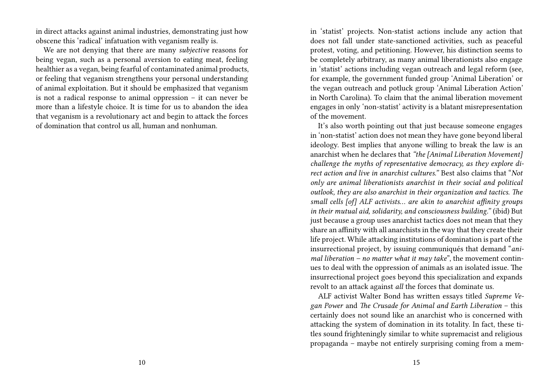in direct attacks against animal industries, demonstrating just how obscene this 'radical' infatuation with veganism really is.

We are not denying that there are many *subjective* reasons for being vegan, such as a personal aversion to eating meat, feeling healthier as a vegan, being fearful of contaminated animal products, or feeling that veganism strengthens your personal understanding of animal exploitation. But it should be emphasized that veganism is not a radical response to animal oppression – it can never be more than a lifestyle choice. It is time for us to abandon the idea that veganism is a revolutionary act and begin to attack the forces of domination that control us all, human and nonhuman.

in 'statist' projects. Non-statist actions include any action that does not fall under state-sanctioned activities, such as peaceful protest, voting, and petitioning. However, his distinction seems to be completely arbitrary, as many animal liberationists also engage in 'statist' actions including vegan outreach and legal reform (see, for example, the government funded group 'Animal Liberation' or the vegan outreach and potluck group 'Animal Liberation Action' in North Carolina). To claim that the animal liberation movement engages in only 'non-statist' activity is a blatant misrepresentation of the movement.

It's also worth pointing out that just because someone engages in 'non-statist' action does not mean they have gone beyond liberal ideology. Best implies that anyone willing to break the law is an anarchist when he declares that *"the [Animal Liberation Movement] challenge the myths of representative democracy, as they explore direct action and live in anarchist cultures."* Best also claims that "*Not only are animal liberationists anarchist in their social and political outlook, they are also anarchist in their organization and tactics. The small cells [of] ALF activists… are akin to anarchist affinity groups in their mutual aid, solidarity, and consciousness building."* (ibid) But just because a group uses anarchist tactics does not mean that they share an affinity with all anarchists in the way that they create their life project. While attacking institutions of domination is part of the insurrectional project, by issuing communiqués that demand "*animal liberation – no matter what it may take*", the movement continues to deal with the oppression of animals as an isolated issue. The insurrectional project goes beyond this specialization and expands revolt to an attack against *all* the forces that dominate us.

ALF activist Walter Bond has written essays titled *Supreme Vegan Power* and *The Crusade for Animal and Earth Liberation* – this certainly does not sound like an anarchist who is concerned with attacking the system of domination in its totality. In fact, these titles sound frighteningly similar to white supremacist and religious propaganda – maybe not entirely surprising coming from a mem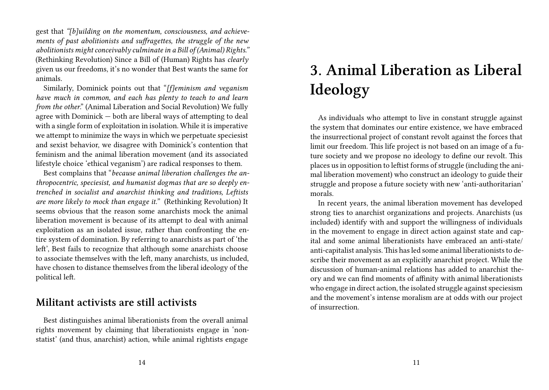gest that *"[b]uilding on the momentum, consciousness, and achievements of past abolitionists and suffragettes, the struggle of the new abolitionists might conceivably culminate in a Bill of (Animal) Rights."* (Rethinking Revolution) Since a Bill of (Human) Rights has *clearly* given us our freedoms, it's no wonder that Best wants the same for animals.

Similarly, Dominick points out that "*[f]eminism and veganism have much in common, and each has plenty to teach to and learn from the other*." (Animal Liberation and Social Revolution) We fully agree with Dominick — both are liberal ways of attempting to deal with a single form of exploitation in isolation. While it is imperative we attempt to minimize the ways in which we perpetuate speciesist and sexist behavior, we disagree with Dominick's contention that feminism and the animal liberation movement (and its associated lifestyle choice 'ethical veganism') are radical responses to them.

Best complains that "*because animal liberation challenges the anthropocentric, speciesist, and humanist dogmas that are so deeply entrenched in socialist and anarchist thinking and traditions, Leftists are more likely to mock than engage it."* (Rethinking Revolution) It seems obvious that the reason some anarchists mock the animal liberation movement is because of its attempt to deal with animal exploitation as an isolated issue, rather than confronting the entire system of domination. By referring to anarchists as part of 'the left', Best fails to recognize that although some anarchists choose to associate themselves with the left, many anarchists, us included, have chosen to distance themselves from the liberal ideology of the political left.

#### **Militant activists are still activists**

Best distinguishes animal liberationists from the overall animal rights movement by claiming that liberationists engage in 'nonstatist' (and thus, anarchist) action, while animal rightists engage

# **3. Animal Liberation as Liberal Ideology**

As individuals who attempt to live in constant struggle against the system that dominates our entire existence, we have embraced the insurrectional project of constant revolt against the forces that limit our freedom. This life project is not based on an image of a future society and we propose no ideology to define our revolt. This places us in opposition to leftist forms of struggle (including the animal liberation movement) who construct an ideology to guide their struggle and propose a future society with new 'anti-authoritarian' morals.

In recent years, the animal liberation movement has developed strong ties to anarchist organizations and projects. Anarchists (us included) identify with and support the willingness of individuals in the movement to engage in direct action against state and capital and some animal liberationists have embraced an anti-state/ anti-capitalist analysis.This has led some animal liberationists to describe their movement as an explicitly anarchist project. While the discussion of human-animal relations has added to anarchist theory and we can find moments of affinity with animal liberationists who engage in direct action, the isolated struggle against speciesism and the movement's intense moralism are at odds with our project of insurrection.